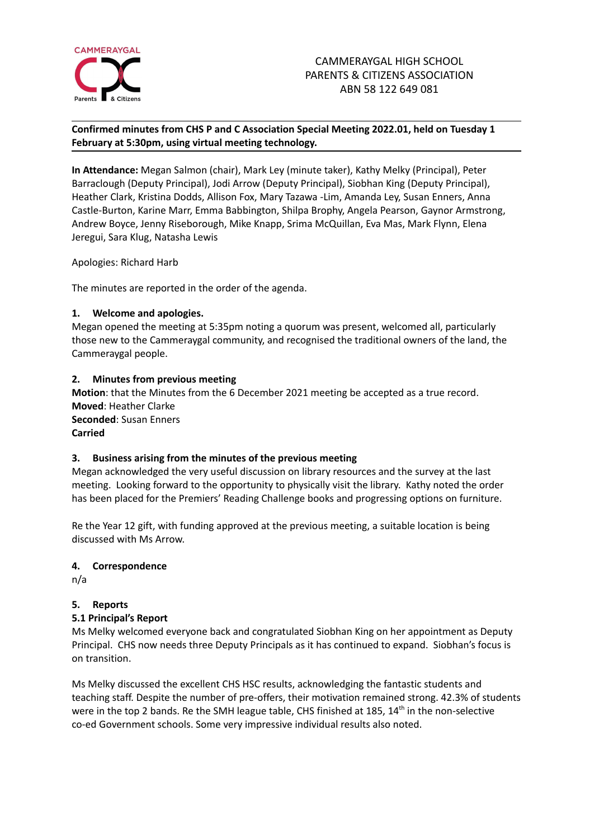

## **Confirmed minutes from CHS P and C Association Special Meeting 2022.01, held on Tuesday 1 February at 5:30pm, using virtual meeting technology.**

**In Attendance:** Megan Salmon (chair), Mark Ley (minute taker), Kathy Melky (Principal), Peter Barraclough (Deputy Principal), Jodi Arrow (Deputy Principal), Siobhan King (Deputy Principal), Heather Clark, Kristina Dodds, Allison Fox, Mary Tazawa -Lim, Amanda Ley, Susan Enners, Anna Castle-Burton, Karine Marr, Emma Babbington, Shilpa Brophy, Angela Pearson, Gaynor Armstrong, Andrew Boyce, Jenny Riseborough, Mike Knapp, Srima McQuillan, Eva Mas, Mark Flynn, Elena Jeregui, Sara Klug, Natasha Lewis

Apologies: Richard Harb

The minutes are reported in the order of the agenda.

### **1. Welcome and apologies.**

Megan opened the meeting at 5:35pm noting a quorum was present, welcomed all, particularly those new to the Cammeraygal community, and recognised the traditional owners of the land, the Cammeraygal people.

### **2. Minutes from previous meeting**

**Motion**: that the Minutes from the 6 December 2021 meeting be accepted as a true record. **Moved**: Heather Clarke **Seconded**: Susan Enners **Carried**

#### **3. Business arising from the minutes of the previous meeting**

Megan acknowledged the very useful discussion on library resources and the survey at the last meeting. Looking forward to the opportunity to physically visit the library. Kathy noted the order has been placed for the Premiers' Reading Challenge books and progressing options on furniture.

Re the Year 12 gift, with funding approved at the previous meeting, a suitable location is being discussed with Ms Arrow.

#### **4. Correspondence**

n/a

## **5. Reports**

## **5.1 Principal's Report**

Ms Melky welcomed everyone back and congratulated Siobhan King on her appointment as Deputy Principal. CHS now needs three Deputy Principals as it has continued to expand. Siobhan's focus is on transition.

Ms Melky discussed the excellent CHS HSC results, acknowledging the fantastic students and teaching staff. Despite the number of pre-offers, their motivation remained strong. 42.3% of students were in the top 2 bands. Re the SMH league table, CHS finished at 185, 14<sup>th</sup> in the non-selective co-ed Government schools. Some very impressive individual results also noted.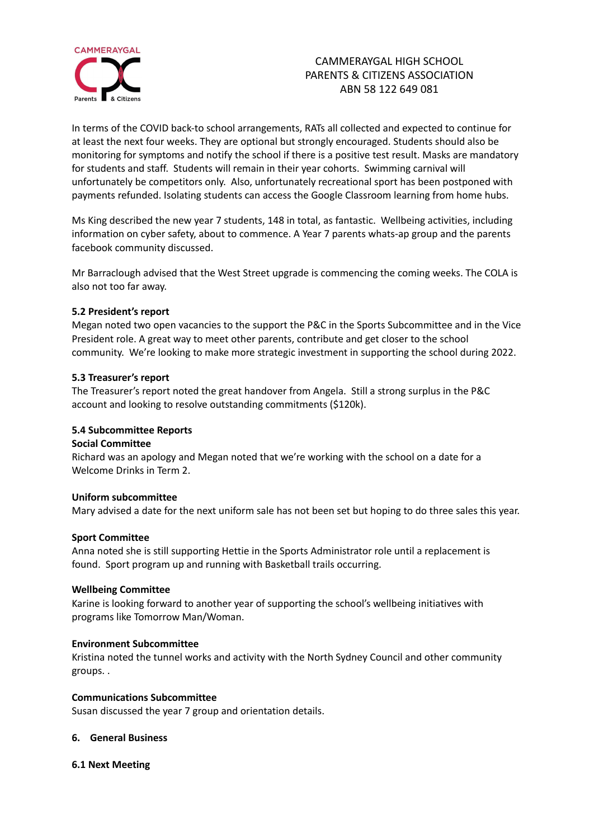

# CAMMERAYGAL HIGH SCHOOL PARENTS & CITIZENS ASSOCIATION ABN 58 122 649 081

In terms of the COVID back-to school arrangements, RATs all collected and expected to continue for at least the next four weeks. They are optional but strongly encouraged. Students should also be monitoring for symptoms and notify the school if there is a positive test result. Masks are mandatory for students and staff. Students will remain in their year cohorts. Swimming carnival will unfortunately be competitors only. Also, unfortunately recreational sport has been postponed with payments refunded. Isolating students can access the Google Classroom learning from home hubs.

Ms King described the new year 7 students, 148 in total, as fantastic. Wellbeing activities, including information on cyber safety, about to commence. A Year 7 parents whats-ap group and the parents facebook community discussed.

Mr Barraclough advised that the West Street upgrade is commencing the coming weeks. The COLA is also not too far away.

#### **5.2 President's report**

Megan noted two open vacancies to the support the P&C in the Sports Subcommittee and in the Vice President role. A great way to meet other parents, contribute and get closer to the school community. We're looking to make more strategic investment in supporting the school during 2022.

#### **5.3 Treasurer's report**

The Treasurer's report noted the great handover from Angela. Still a strong surplus in the P&C account and looking to resolve outstanding commitments (\$120k).

#### **5.4 Subcommittee Reports**

#### **Social Committee**

Richard was an apology and Megan noted that we're working with the school on a date for a Welcome Drinks in Term 2.

#### **Uniform subcommittee**

Mary advised a date for the next uniform sale has not been set but hoping to do three sales this year.

#### **Sport Committee**

Anna noted she is still supporting Hettie in the Sports Administrator role until a replacement is found. Sport program up and running with Basketball trails occurring.

#### **Wellbeing Committee**

Karine is looking forward to another year of supporting the school's wellbeing initiatives with programs like Tomorrow Man/Woman.

#### **Environment Subcommittee**

Kristina noted the tunnel works and activity with the North Sydney Council and other community groups. .

#### **Communications Subcommittee**

Susan discussed the year 7 group and orientation details.

#### **6. General Business**

#### **6.1 Next Meeting**